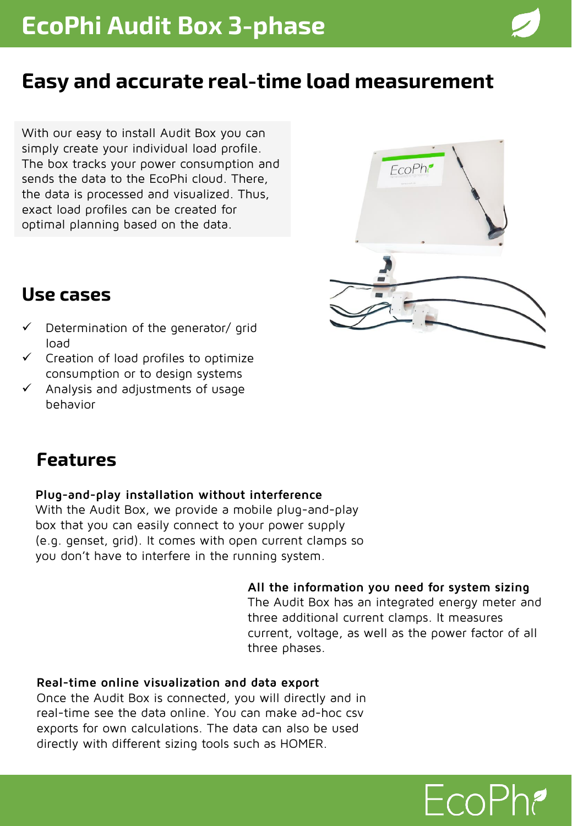## **Easy and accurate real-time load measurement**

With our easy to install Audit Box you can simply create your individual load profile. The box tracks your power consumption and sends the data to the EcoPhi cloud. There, the data is processed and visualized. Thus, exact load profiles can be created for optimal planning based on the data.



### **Use cases**

- Determination of the generator/ grid load
- $\checkmark$  Creation of load profiles to optimize consumption or to design systems
- Analysis and adjustments of usage behavior

### **Features**

#### **Plug-and-play installation without interference**

With the Audit Box, we provide a mobile plug-and-play box that you can easily connect to your power supply (e.g. genset, grid). It comes with open current clamps so you don't have to interfere in the running system.

#### **All the information you need for system sizing**

The Audit Box has an integrated energy meter and three additional current clamps. It measures current, voltage, as well as the power factor of all three phases.

#### **Real-time online visualization and data export**

Once the Audit Box is connected, you will directly and in real-time see the data online. You can make ad-hoc csv exports for own calculations. The data can also be used directly with different sizing tools such as HOMER.

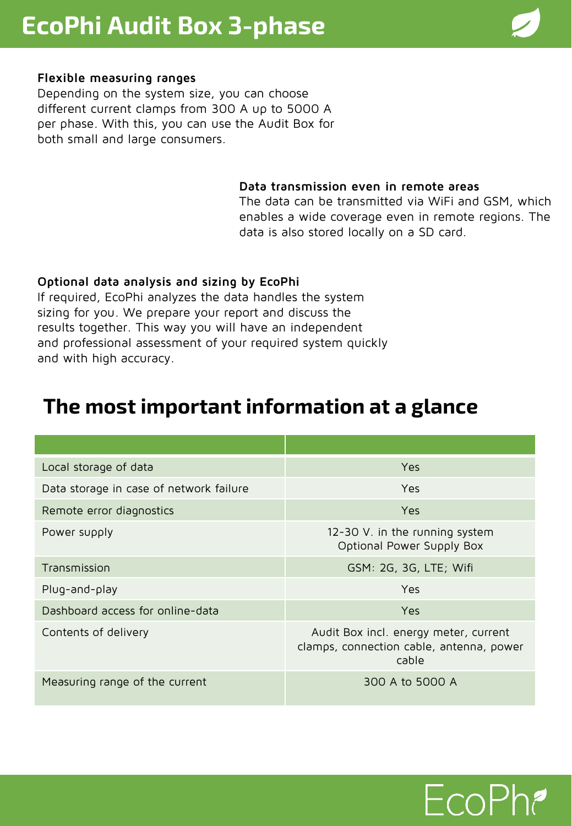# **EcoPhi Audit Box 3-phase**

#### **Flexible measuring ranges**

Depending on the system size, you can choose different current clamps from 300 A up to 5000 A per phase. With this, you can use the Audit Box for both small and large consumers.

#### **Data transmission even in remote areas**

The data can be transmitted via WiFi and GSM, which enables a wide coverage even in remote regions. The data is also stored locally on a SD card.

#### **Optional data analysis and sizing by EcoPhi**

If required, EcoPhi analyzes the data handles the system sizing for you. We prepare your report and discuss the results together. This way you will have an independent and professional assessment of your required system quickly and with high accuracy.

### **The most important information at a glance**

| Local storage of data                   | Yes                                                                                        |
|-----------------------------------------|--------------------------------------------------------------------------------------------|
| Data storage in case of network failure | Yes                                                                                        |
| Remote error diagnostics                | Yes                                                                                        |
| Power supply                            | 12-30 V. in the running system<br>Optional Power Supply Box                                |
| Transmission                            | GSM: 2G, 3G, LTE; Wifi                                                                     |
| Plug-and-play                           | Yes                                                                                        |
| Dashboard access for online-data        | Yes                                                                                        |
| Contents of delivery                    | Audit Box incl. energy meter, current<br>clamps, connection cable, antenna, power<br>cable |
| Measuring range of the current          | 300 A to 5000 A                                                                            |

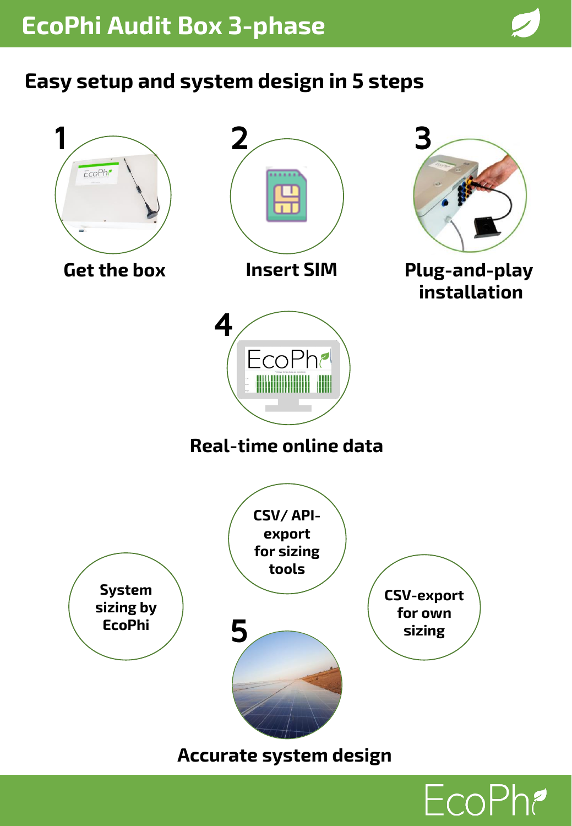# **Easy setup and system design in 5 steps**



EcoPh?